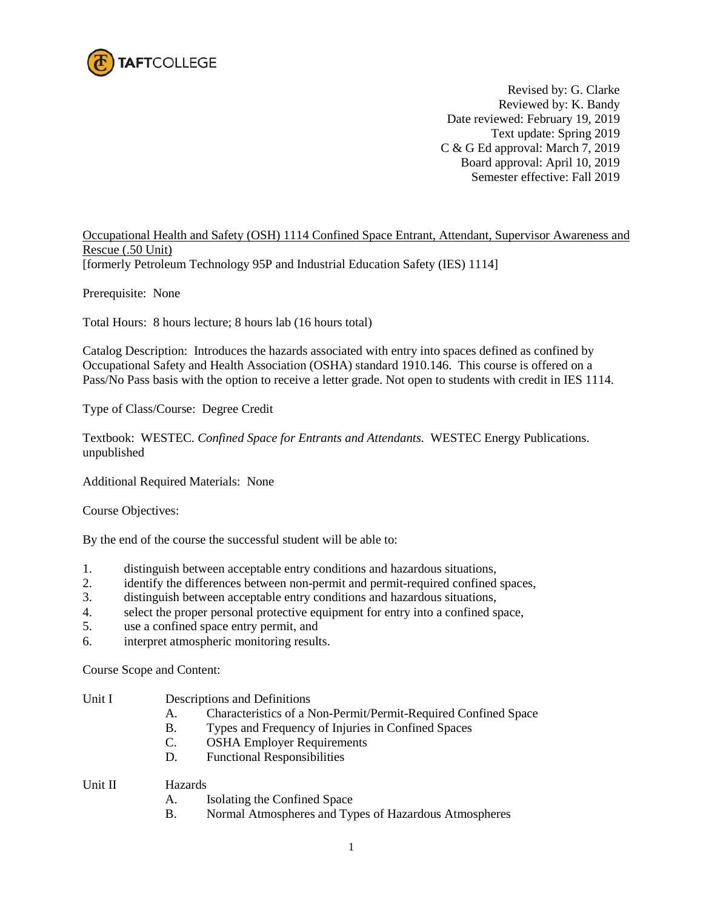

Revised by: G. Clarke Reviewed by: K. Bandy Date reviewed: February 19, 2019 Text update: Spring 2019 C & G Ed approval: March 7, 2019 Board approval: April 10, 2019 Semester effective: Fall 2019

Occupational Health and Safety (OSH) 1114 Confined Space Entrant, Attendant, Supervisor Awareness and Rescue (.50 Unit) [formerly Petroleum Technology 95P and Industrial Education Safety (IES) 1114]

Prerequisite: None

Total Hours: 8 hours lecture; 8 hours lab (16 hours total)

Catalog Description: Introduces the hazards associated with entry into spaces defined as confined by Occupational Safety and Health Association (OSHA) standard 1910.146. This course is offered on a Pass/No Pass basis with the option to receive a letter grade. Not open to students with credit in IES 1114.

Type of Class/Course: Degree Credit

Textbook: WESTEC. *Confined Space for Entrants and Attendants.* WESTEC Energy Publications. unpublished

Additional Required Materials: None

Course Objectives:

By the end of the course the successful student will be able to:

- 1. distinguish between acceptable entry conditions and hazardous situations,
- 2. identify the differences between non-permit and permit-required confined spaces,
- 3. distinguish between acceptable entry conditions and hazardous situations,
- 4. select the proper personal protective equipment for entry into a confined space,
- 5. use a confined space entry permit, and
- 6. interpret atmospheric monitoring results.

Course Scope and Content:

- Unit I Descriptions and Definitions
	- A. Characteristics of a Non-Permit/Permit-Required Confined Space
	- B. Types and Frequency of Injuries in Confined Spaces
	- C. OSHA Employer Requirements
	- D. Functional Responsibilities
- Unit II Hazards
	- A. Isolating the Confined Space
	- B. Normal Atmospheres and Types of Hazardous Atmospheres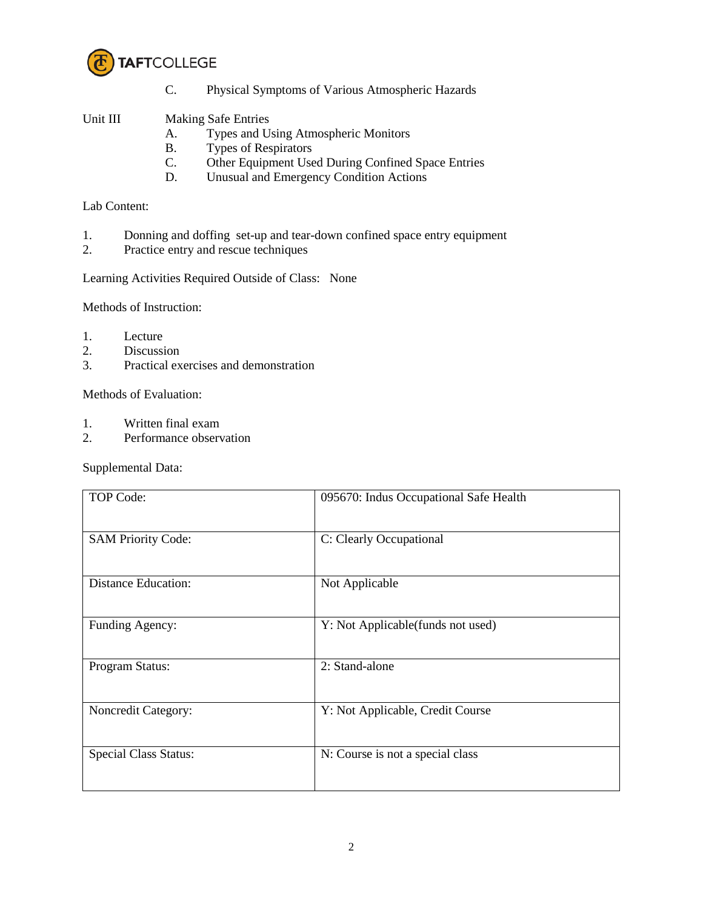

C. Physical Symptoms of Various Atmospheric Hazards

## Unit III Making Safe Entries

- A. Types and Using Atmospheric Monitors
- B. Types of Respirators
- C. Other Equipment Used During Confined Space Entries<br>D. Unusual and Emergency Condition Actions
- Unusual and Emergency Condition Actions

## Lab Content:

- 1. Donning and doffing set-up and tear-down confined space entry equipment
- 2. Practice entry and rescue techniques

Learning Activities Required Outside of Class: None

Methods of Instruction:

- 1. Lecture
- 2. Discussion
- 3. Practical exercises and demonstration

Methods of Evaluation:

- 1. Written final exam
- 2. Performance observation

Supplemental Data:

| <b>TOP Code:</b>             | 095670: Indus Occupational Safe Health |
|------------------------------|----------------------------------------|
| <b>SAM Priority Code:</b>    | C: Clearly Occupational                |
| <b>Distance Education:</b>   | Not Applicable                         |
| Funding Agency:              | Y: Not Applicable(funds not used)      |
| Program Status:              | 2: Stand-alone                         |
| Noncredit Category:          | Y: Not Applicable, Credit Course       |
| <b>Special Class Status:</b> | N: Course is not a special class       |